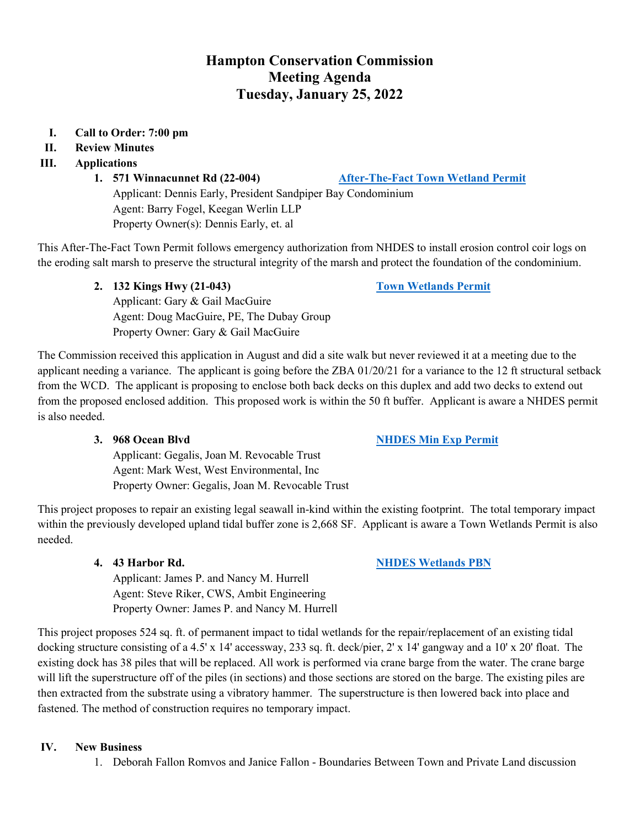## **Hampton Conservation Commission Meeting Agenda Tuesday, January 25, 2022**

#### **I. Call to Order: 7:00 pm**

**II. Review Minutes** 

#### **III. Applications**

**1. 571 Winnacunnet Rd (22-004) [After-The-Fact Town Wetland Permit](https://www.hamptonnh.gov/DocumentCenter/View/4928/571-Winnacunnet-Town-Wetlands-Permit-010522)**

Applicant: Dennis Early, President Sandpiper Bay Condominium Agent: Barry Fogel, Keegan Werlin LLP Property Owner(s): Dennis Early, et. al

This After-The-Fact Town Permit follows emergency authorization from NHDES to install erosion control coir logs on the eroding salt marsh to preserve the structural integrity of the marsh and protect the foundation of the condominium.

**2. 132 Kings Hwy (21-043) [Town Wetlands Permit](https://www.hamptonnh.gov/DocumentCenter/View/4952/132-Kings-Hwy-Submittal-Package)**

Applicant: Gary & Gail MacGuire Agent: Doug MacGuire, PE, The Dubay Group Property Owner: Gary & Gail MacGuire

The Commission received this application in August and did a site walk but never reviewed it at a meeting due to the applicant needing a variance. The applicant is going before the ZBA  $01/20/21$  for a variance to the 12 ft structural setback from the WCD. The applicant is proposing to enclose both back decks on this duplex and add two decks to extend out from the proposed enclosed addition. This proposed work is within the 50 ft buffer. Applicant is aware a NHDES permit is also needed.

#### **3. 968 Ocean Blvd [NHDES Min Exp Permit](https://www.hamptonnh.gov/DocumentCenter/View/4953/968-Ocean-Blvd-2022-NHDES-MIN-EXP-NHDES-Application)**

Applicant: Gegalis, Joan M. Revocable Trust Agent: Mark West, West Environmental, Inc Property Owner: Gegalis, Joan M. Revocable Trust

This project proposes to repair an existing legal seawall in-kind within the existing footprint. The total temporary impact within the previously developed upland tidal buffer zone is 2,668 SF. Applicant is aware a Town Wetlands Permit is also needed.

#### **4. 43 Harbor Rd. [NHDES Wetlands PBN](https://www.hamptonnh.gov/DocumentCenter/View/4959/43-Harbor-Rd-NHDES-PBN-2022)**

Applicant: James P. and Nancy M. Hurrell Agent: Steve Riker, CWS, Ambit Engineering Property Owner: James P. and Nancy M. Hurrell

This project proposes 524 sq. ft. of permanent impact to tidal wetlands for the repair/replacement of an existing tidal docking structure consisting of a 4.5' x 14' accessway, 233 sq. ft. deck/pier, 2' x 14' gangway and a 10' x 20' float. The existing dock has 38 piles that will be replaced. All work is performed via crane barge from the water. The crane barge will lift the superstructure off of the piles (in sections) and those sections are stored on the barge. The existing piles are then extracted from the substrate using a vibratory hammer. The superstructure is then lowered back into place and fastened. The method of construction requires no temporary impact.

#### **IV. New Business**

1. Deborah Fallon Romvos and Janice Fallon - Boundaries Between Town and Private Land discussion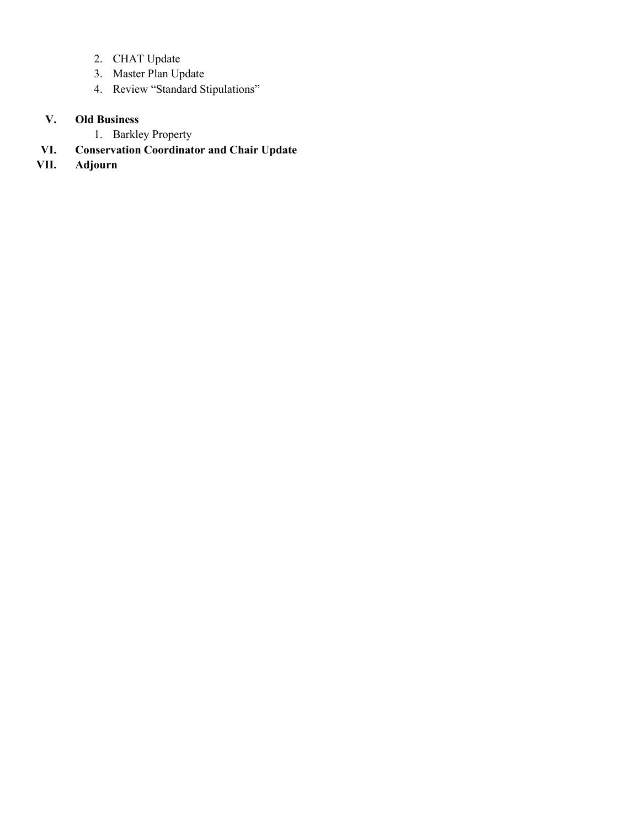- 2. CHAT Update
- 3. Master Plan Update
- 4. Review "Standard Stipulations"

### **V. Old Business**

- 1. Barkley Property
- **VI. Conservation Coordinator and Chair Update**
- **VII. Adjourn**